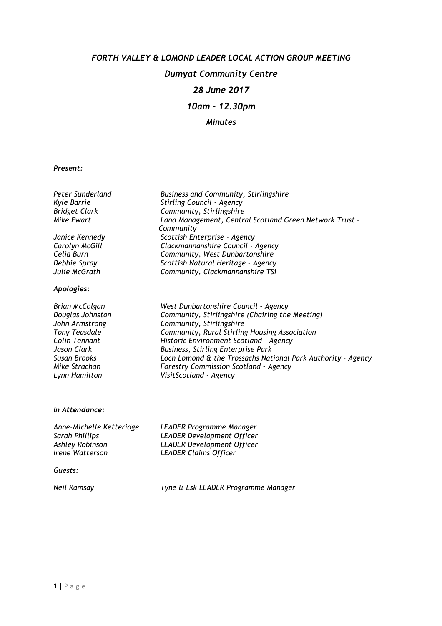# FORTH VALLEY & LOMOND LEADER LOCAL ACTION GROUP MEETING Dumyat Community Centre 28 June 2017 10am – 12.30pm Minutes

#### Present:

| Peter Sunderland     | Business and Community, Stirlingshire                        |
|----------------------|--------------------------------------------------------------|
| Kyle Barrie          | Stirling Council - Agency                                    |
| <b>Bridget Clark</b> | Community, Stirlingshire                                     |
| Mike Ewart           | Land Management, Central Scotland Green Network Trust -      |
|                      | Community                                                    |
| Janice Kennedy       | Scottish Enterprise - Agency                                 |
| Carolyn McGill       | Clackmannanshire Council - Agency                            |
| Celia Burn           | Community, West Dunbartonshire                               |
| Debbie Spray         | Scottish Natural Heritage - Agency                           |
| Julie McGrath        | Community, Clackmannanshire TSi                              |
| Apologies:           |                                                              |
| Brian McColgan       | West Dunbartonshire Council - Agency                         |
| Douglas Johnston     | Community, Stirlingshire (Chairing the Meeting)              |
| John Armstrong       | Community, Stirlingshire                                     |
| Tony Teasdale        | Community, Rural Stirling Housing Association                |
| Colin Tennant        | Historic Environment Scotland - Agency                       |
| Jason Clark          | <b>Business, Stirling Enterprise Park</b>                    |
| <b>Susan Brooks</b>  | Loch Lomond & the Trossachs National Park Authority - Agency |
| Mike Strachan        | <b>Forestry Commission Scotland - Agency</b>                 |
| Lynn Hamilton        | VisitScotland - Agency                                       |

#### In Attendance:

| Anne-Michelle Ketteridge             | LEADER Programme Manager          |
|--------------------------------------|-----------------------------------|
| Sarah Phillips                       | <b>LEADER Development Officer</b> |
| Ashley Robinson                      | <b>LEADER Development Officer</b> |
| <i><u><b>Irene Watterson</b></u></i> | <b>LEADER Claims Officer</b>      |
|                                      |                                   |

Guests:

Neil Ramsay Tyne & Esk LEADER Programme Manager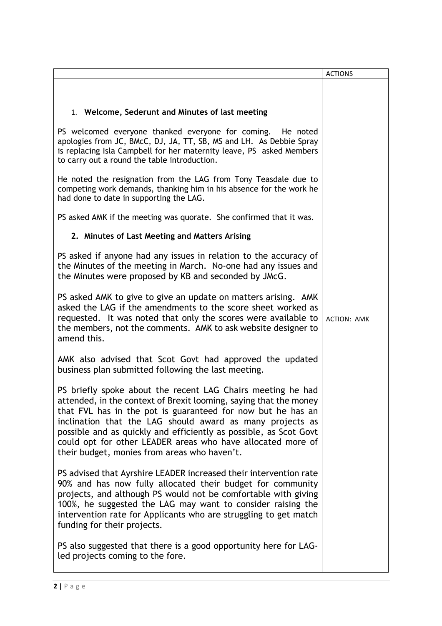|                                                                                                                                                                                                                                                                                                                                                                                                                                                  | <b>ACTIONS</b>     |
|--------------------------------------------------------------------------------------------------------------------------------------------------------------------------------------------------------------------------------------------------------------------------------------------------------------------------------------------------------------------------------------------------------------------------------------------------|--------------------|
| 1. Welcome, Sederunt and Minutes of last meeting                                                                                                                                                                                                                                                                                                                                                                                                 |                    |
|                                                                                                                                                                                                                                                                                                                                                                                                                                                  |                    |
| PS welcomed everyone thanked everyone for coming. He noted<br>apologies from JC, BMcC, DJ, JA, TT, SB, MS and LH. As Debbie Spray<br>is replacing Isla Campbell for her maternity leave, PS asked Members<br>to carry out a round the table introduction.                                                                                                                                                                                        |                    |
| He noted the resignation from the LAG from Tony Teasdale due to<br>competing work demands, thanking him in his absence for the work he<br>had done to date in supporting the LAG.                                                                                                                                                                                                                                                                |                    |
| PS asked AMK if the meeting was quorate. She confirmed that it was.                                                                                                                                                                                                                                                                                                                                                                              |                    |
| 2. Minutes of Last Meeting and Matters Arising                                                                                                                                                                                                                                                                                                                                                                                                   |                    |
| PS asked if anyone had any issues in relation to the accuracy of<br>the Minutes of the meeting in March. No-one had any issues and<br>the Minutes were proposed by KB and seconded by JMcG.                                                                                                                                                                                                                                                      |                    |
| PS asked AMK to give to give an update on matters arising. AMK<br>asked the LAG if the amendments to the score sheet worked as<br>requested. It was noted that only the scores were available to<br>the members, not the comments. AMK to ask website designer to<br>amend this.                                                                                                                                                                 | <b>ACTION: AMK</b> |
| AMK also advised that Scot Govt had approved the updated<br>business plan submitted following the last meeting.                                                                                                                                                                                                                                                                                                                                  |                    |
| PS briefly spoke about the recent LAG Chairs meeting he had<br>attended, in the context of Brexit looming, saying that the money<br>that FVL has in the pot is guaranteed for now but he has an<br>inclination that the LAG should award as many projects as<br>possible and as quickly and efficiently as possible, as Scot Govt<br>could opt for other LEADER areas who have allocated more of<br>their budget, monies from areas who haven't. |                    |
| PS advised that Ayrshire LEADER increased their intervention rate<br>90% and has now fully allocated their budget for community<br>projects, and although PS would not be comfortable with giving<br>100%, he suggested the LAG may want to consider raising the<br>intervention rate for Applicants who are struggling to get match<br>funding for their projects.                                                                              |                    |
| PS also suggested that there is a good opportunity here for LAG-<br>led projects coming to the fore.                                                                                                                                                                                                                                                                                                                                             |                    |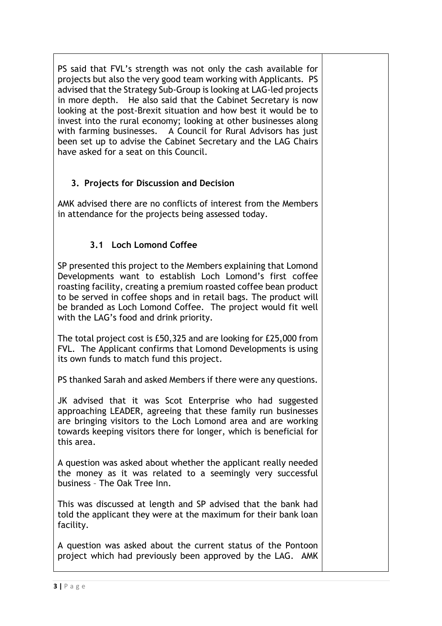PS said that FVL's strength was not only the cash available for projects but also the very good team working with Applicants. PS advised that the Strategy Sub-Group is looking at LAG-led projects in more depth. He also said that the Cabinet Secretary is now looking at the post-Brexit situation and how best it would be to invest into the rural economy; looking at other businesses along with farming businesses. A Council for Rural Advisors has just been set up to advise the Cabinet Secretary and the LAG Chairs have asked for a seat on this Council.

# 3. Projects for Discussion and Decision

AMK advised there are no conflicts of interest from the Members in attendance for the projects being assessed today.

# 3.1 Loch Lomond Coffee

SP presented this project to the Members explaining that Lomond Developments want to establish Loch Lomond's first coffee roasting facility, creating a premium roasted coffee bean product to be served in coffee shops and in retail bags. The product will be branded as Loch Lomond Coffee. The project would fit well with the LAG's food and drink priority.

The total project cost is £50,325 and are looking for £25,000 from FVL. The Applicant confirms that Lomond Developments is using its own funds to match fund this project.

PS thanked Sarah and asked Members if there were any questions.

JK advised that it was Scot Enterprise who had suggested approaching LEADER, agreeing that these family run businesses are bringing visitors to the Loch Lomond area and are working towards keeping visitors there for longer, which is beneficial for this area.

A question was asked about whether the applicant really needed the money as it was related to a seemingly very successful business – The Oak Tree Inn.

This was discussed at length and SP advised that the bank had told the applicant they were at the maximum for their bank loan facility.

A question was asked about the current status of the Pontoon project which had previously been approved by the LAG. AMK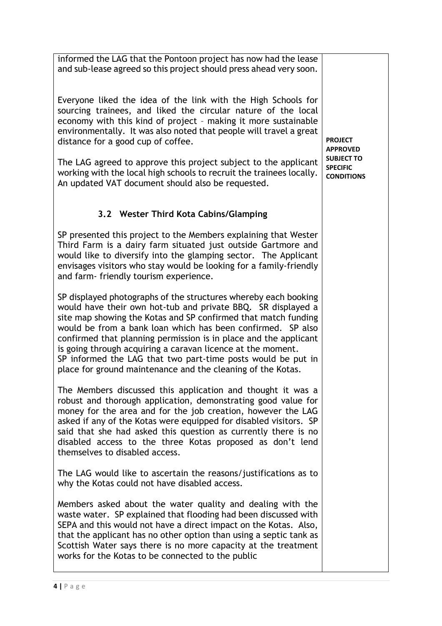informed the LAG that the Pontoon project has now had the lease and sub-lease agreed so this project should press ahead very soon.

Everyone liked the idea of the link with the High Schools for sourcing trainees, and liked the circular nature of the local economy with this kind of project – making it more sustainable environmentally. It was also noted that people will travel a great distance for a good cup of coffee.

The LAG agreed to approve this project subject to the applicant working with the local high schools to recruit the trainees locally. An updated VAT document should also be requested.

# 3.2 Wester Third Kota Cabins/Glamping

SP presented this project to the Members explaining that Wester Third Farm is a dairy farm situated just outside Gartmore and would like to diversify into the glamping sector. The Applicant envisages visitors who stay would be looking for a family-friendly and farm- friendly tourism experience.

SP displayed photographs of the structures whereby each booking would have their own hot-tub and private BBQ. SR displayed a site map showing the Kotas and SP confirmed that match funding would be from a bank loan which has been confirmed. SP also confirmed that planning permission is in place and the applicant is going through acquiring a caravan licence at the moment. SP informed the LAG that two part-time posts would be put in place for ground maintenance and the cleaning of the Kotas.

The Members discussed this application and thought it was a robust and thorough application, demonstrating good value for money for the area and for the job creation, however the LAG asked if any of the Kotas were equipped for disabled visitors. SP said that she had asked this question as currently there is no disabled access to the three Kotas proposed as don't lend themselves to disabled access.

The LAG would like to ascertain the reasons/justifications as to why the Kotas could not have disabled access.

Members asked about the water quality and dealing with the waste water. SP explained that flooding had been discussed with SEPA and this would not have a direct impact on the Kotas. Also, that the applicant has no other option than using a septic tank as Scottish Water says there is no more capacity at the treatment works for the Kotas to be connected to the public

PROJECT APPROVED SUBJECT TO SPECIFIC **CONDITIONS**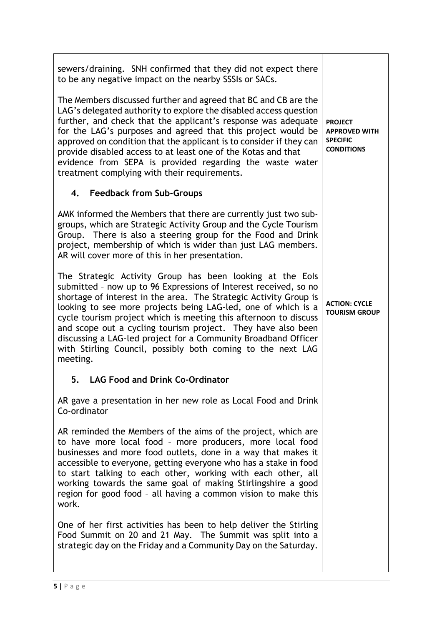sewers/draining. SNH confirmed that they did not expect there to be any negative impact on the nearby SSSIs or SACs. The Members discussed further and agreed that BC and CB are the LAG's delegated authority to explore the disabled access question further, and check that the applicant's response was adequate for the LAG's purposes and agreed that this project would be approved on condition that the applicant is to consider if they can provide disabled access to at least one of the Kotas and that evidence from SEPA is provided regarding the waste water treatment complying with their requirements. 4. Feedback from Sub-Groups AMK informed the Members that there are currently just two subgroups, which are Strategic Activity Group and the Cycle Tourism Group. There is also a steering group for the Food and Drink project, membership of which is wider than just LAG members. AR will cover more of this in her presentation. The Strategic Activity Group has been looking at the Eols submitted – now up to 96 Expressions of Interest received, so no shortage of interest in the area. The Strategic Activity Group is looking to see more projects being LAG-led, one of which is a cycle tourism project which is meeting this afternoon to discuss and scope out a cycling tourism project. They have also been discussing a LAG-led project for a Community Broadband Officer with Stirling Council, possibly both coming to the next LAG meeting. 5. LAG Food and Drink Co-Ordinator AR gave a presentation in her new role as Local Food and Drink Co-ordinator AR reminded the Members of the aims of the project, which are to have more local food – more producers, more local food businesses and more food outlets, done in a way that makes it accessible to everyone, getting everyone who has a stake in food to start talking to each other, working with each other, all working towards the same goal of making Stirlingshire a good region for good food – all having a common vision to make this work. One of her first activities has been to help deliver the Stirling Food Summit on 20 and 21 May. The Summit was split into a strategic day on the Friday and a Community Day on the Saturday. **PROJECT** APPROVED WITH SPECIFIC **CONDITIONS** ACTION: CYCLE TOURISM GROUP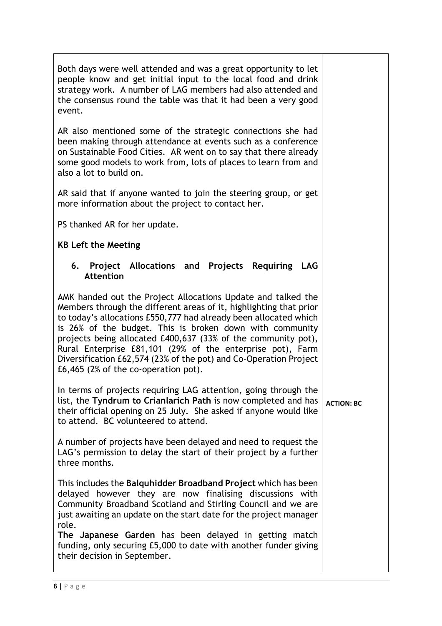| Both days were well attended and was a great opportunity to let<br>people know and get initial input to the local food and drink<br>strategy work. A number of LAG members had also attended and<br>the consensus round the table was that it had been a very good<br>event.                                                                                                                                                                                                                                   |  |  |  |  |
|----------------------------------------------------------------------------------------------------------------------------------------------------------------------------------------------------------------------------------------------------------------------------------------------------------------------------------------------------------------------------------------------------------------------------------------------------------------------------------------------------------------|--|--|--|--|
| AR also mentioned some of the strategic connections she had<br>been making through attendance at events such as a conference<br>on Sustainable Food Cities. AR went on to say that there already<br>some good models to work from, lots of places to learn from and<br>also a lot to build on.                                                                                                                                                                                                                 |  |  |  |  |
| AR said that if anyone wanted to join the steering group, or get<br>more information about the project to contact her.                                                                                                                                                                                                                                                                                                                                                                                         |  |  |  |  |
| PS thanked AR for her update.                                                                                                                                                                                                                                                                                                                                                                                                                                                                                  |  |  |  |  |
| <b>KB Left the Meeting</b>                                                                                                                                                                                                                                                                                                                                                                                                                                                                                     |  |  |  |  |
| Project Allocations and Projects Requiring LAG<br>6.<br><b>Attention</b>                                                                                                                                                                                                                                                                                                                                                                                                                                       |  |  |  |  |
| AMK handed out the Project Allocations Update and talked the<br>Members through the different areas of it, highlighting that prior<br>to today's allocations £550,777 had already been allocated which<br>is 26% of the budget. This is broken down with community<br>projects being allocated £400,637 (33% of the community pot),<br>Rural Enterprise £81,101 (29% of the enterprise pot), Farm<br>Diversification £62,574 (23% of the pot) and Co-Operation Project<br>£6,465 (2% of the co-operation pot). |  |  |  |  |
| In terms of projects requiring LAG attention, going through the<br>list, the Tyndrum to Crianlarich Path is now completed and has<br><b>ACTION: BC</b><br>their official opening on 25 July. She asked if anyone would like<br>to attend. BC volunteered to attend.                                                                                                                                                                                                                                            |  |  |  |  |
| A number of projects have been delayed and need to request the<br>LAG's permission to delay the start of their project by a further<br>three months.                                                                                                                                                                                                                                                                                                                                                           |  |  |  |  |
| This includes the Balquhidder Broadband Project which has been<br>delayed however they are now finalising discussions with<br>Community Broadband Scotland and Stirling Council and we are<br>just awaiting an update on the start date for the project manager<br>role.<br>The Japanese Garden has been delayed in getting match<br>funding, only securing £5,000 to date with another funder giving<br>their decision in September.                                                                          |  |  |  |  |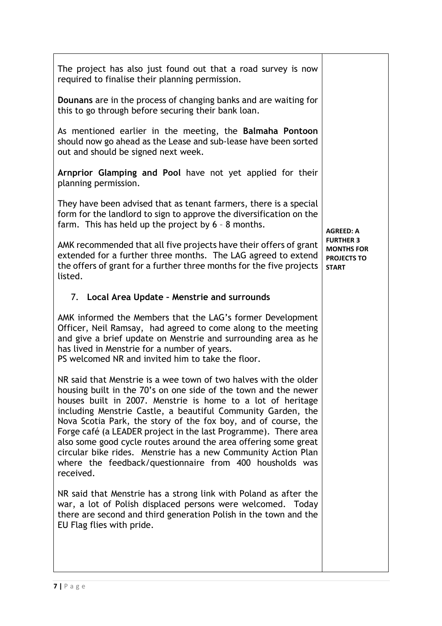| The project has also just found out that a road survey is now<br>required to finalise their planning permission.<br>Dounans are in the process of changing banks and are waiting for<br>this to go through before securing their bank loan.<br>As mentioned earlier in the meeting, the Balmaha Pontoon<br>should now go ahead as the Lease and sub-lease have been sorted<br>out and should be signed next week.<br>Arnprior Glamping and Pool have not yet applied for their<br>planning permission.<br>They have been advised that as tenant farmers, there is a special<br>form for the landlord to sign to approve the diversification on the<br>farm. This has held up the project by 6 - 8 months.<br><b>AGREED: A</b><br><b>FURTHER 3</b><br>AMK recommended that all five projects have their offers of grant<br><b>MONTHS FOR</b><br>extended for a further three months. The LAG agreed to extend<br><b>PROJECTS TO</b><br>the offers of grant for a further three months for the five projects<br><b>START</b><br>listed.<br>7. Local Area Update - Menstrie and surrounds<br>AMK informed the Members that the LAG's former Development<br>Officer, Neil Ramsay, had agreed to come along to the meeting<br>and give a brief update on Menstrie and surrounding area as he<br>has lived in Menstrie for a number of years.<br>PS welcomed NR and invited him to take the floor.<br>NR said that Menstrie is a wee town of two halves with the older<br>housing built in the 70's on one side of the town and the newer<br>houses built in 2007. Menstrie is home to a lot of heritage<br>including Menstrie Castle, a beautiful Community Garden, the<br>Nova Scotia Park, the story of the fox boy, and of course, the<br>Forge café (a LEADER project in the last Programme). There area<br>also some good cycle routes around the area offering some great<br>circular bike rides. Menstrie has a new Community Action Plan<br>where the feedback/questionnaire from 400 housholds was<br>received.<br>NR said that Menstrie has a strong link with Poland as after the<br>war, a lot of Polish displaced persons were welcomed. Today<br>there are second and third generation Polish in the town and the<br>EU Flag flies with pride. |  |  |
|---------------------------------------------------------------------------------------------------------------------------------------------------------------------------------------------------------------------------------------------------------------------------------------------------------------------------------------------------------------------------------------------------------------------------------------------------------------------------------------------------------------------------------------------------------------------------------------------------------------------------------------------------------------------------------------------------------------------------------------------------------------------------------------------------------------------------------------------------------------------------------------------------------------------------------------------------------------------------------------------------------------------------------------------------------------------------------------------------------------------------------------------------------------------------------------------------------------------------------------------------------------------------------------------------------------------------------------------------------------------------------------------------------------------------------------------------------------------------------------------------------------------------------------------------------------------------------------------------------------------------------------------------------------------------------------------------------------------------------------------------------------------------------------------------------------------------------------------------------------------------------------------------------------------------------------------------------------------------------------------------------------------------------------------------------------------------------------------------------------------------------------------------------------------------------------------------------------------------------------------------------|--|--|
|                                                                                                                                                                                                                                                                                                                                                                                                                                                                                                                                                                                                                                                                                                                                                                                                                                                                                                                                                                                                                                                                                                                                                                                                                                                                                                                                                                                                                                                                                                                                                                                                                                                                                                                                                                                                                                                                                                                                                                                                                                                                                                                                                                                                                                                         |  |  |
|                                                                                                                                                                                                                                                                                                                                                                                                                                                                                                                                                                                                                                                                                                                                                                                                                                                                                                                                                                                                                                                                                                                                                                                                                                                                                                                                                                                                                                                                                                                                                                                                                                                                                                                                                                                                                                                                                                                                                                                                                                                                                                                                                                                                                                                         |  |  |
|                                                                                                                                                                                                                                                                                                                                                                                                                                                                                                                                                                                                                                                                                                                                                                                                                                                                                                                                                                                                                                                                                                                                                                                                                                                                                                                                                                                                                                                                                                                                                                                                                                                                                                                                                                                                                                                                                                                                                                                                                                                                                                                                                                                                                                                         |  |  |
|                                                                                                                                                                                                                                                                                                                                                                                                                                                                                                                                                                                                                                                                                                                                                                                                                                                                                                                                                                                                                                                                                                                                                                                                                                                                                                                                                                                                                                                                                                                                                                                                                                                                                                                                                                                                                                                                                                                                                                                                                                                                                                                                                                                                                                                         |  |  |
|                                                                                                                                                                                                                                                                                                                                                                                                                                                                                                                                                                                                                                                                                                                                                                                                                                                                                                                                                                                                                                                                                                                                                                                                                                                                                                                                                                                                                                                                                                                                                                                                                                                                                                                                                                                                                                                                                                                                                                                                                                                                                                                                                                                                                                                         |  |  |
|                                                                                                                                                                                                                                                                                                                                                                                                                                                                                                                                                                                                                                                                                                                                                                                                                                                                                                                                                                                                                                                                                                                                                                                                                                                                                                                                                                                                                                                                                                                                                                                                                                                                                                                                                                                                                                                                                                                                                                                                                                                                                                                                                                                                                                                         |  |  |
|                                                                                                                                                                                                                                                                                                                                                                                                                                                                                                                                                                                                                                                                                                                                                                                                                                                                                                                                                                                                                                                                                                                                                                                                                                                                                                                                                                                                                                                                                                                                                                                                                                                                                                                                                                                                                                                                                                                                                                                                                                                                                                                                                                                                                                                         |  |  |
|                                                                                                                                                                                                                                                                                                                                                                                                                                                                                                                                                                                                                                                                                                                                                                                                                                                                                                                                                                                                                                                                                                                                                                                                                                                                                                                                                                                                                                                                                                                                                                                                                                                                                                                                                                                                                                                                                                                                                                                                                                                                                                                                                                                                                                                         |  |  |
|                                                                                                                                                                                                                                                                                                                                                                                                                                                                                                                                                                                                                                                                                                                                                                                                                                                                                                                                                                                                                                                                                                                                                                                                                                                                                                                                                                                                                                                                                                                                                                                                                                                                                                                                                                                                                                                                                                                                                                                                                                                                                                                                                                                                                                                         |  |  |
|                                                                                                                                                                                                                                                                                                                                                                                                                                                                                                                                                                                                                                                                                                                                                                                                                                                                                                                                                                                                                                                                                                                                                                                                                                                                                                                                                                                                                                                                                                                                                                                                                                                                                                                                                                                                                                                                                                                                                                                                                                                                                                                                                                                                                                                         |  |  |
|                                                                                                                                                                                                                                                                                                                                                                                                                                                                                                                                                                                                                                                                                                                                                                                                                                                                                                                                                                                                                                                                                                                                                                                                                                                                                                                                                                                                                                                                                                                                                                                                                                                                                                                                                                                                                                                                                                                                                                                                                                                                                                                                                                                                                                                         |  |  |